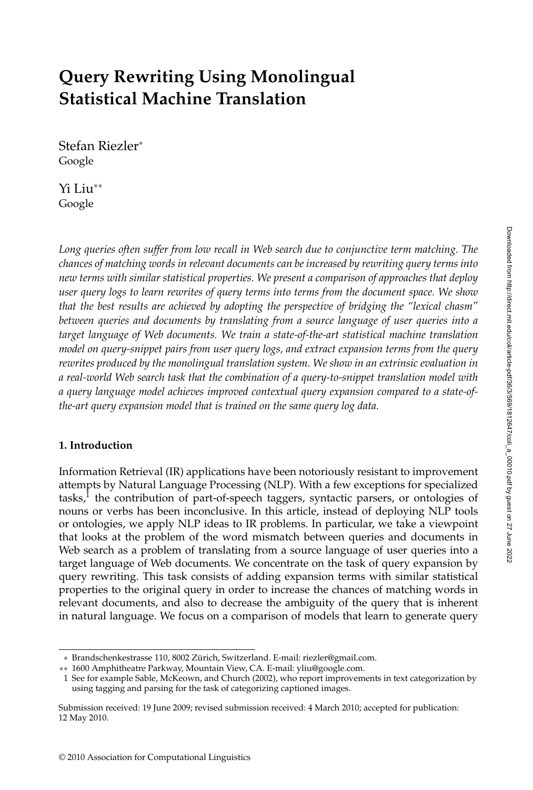# **Query Rewriting Using Monolingual Statistical Machine Translation**

Stefan Riezler<sup>∗</sup> Google

Yi Liu∗∗ Google

*Long queries often suffer from low recall in Web search due to conjunctive term matching. The chances of matching words in relevant documents can be increased by rewriting query terms into new terms with similar statistical properties. We present a comparison of approaches that deploy user query logs to learn rewrites of query terms into terms from the document space. We show that the best results are achieved by adopting the perspective of bridging the "lexical chasm" between queries and documents by translating from a source language of user queries into a target language of Web documents. We train a state-of-the-art statistical machine translation model on query-snippet pairs from user query logs, and extract expansion terms from the query rewrites produced by the monolingual translation system. We show in an extrinsic evaluation in a real-world Web search task that the combination of a query-to-snippet translation model with a query language model achieves improved contextual query expansion compared to a state-ofthe-art query expansion model that is trained on the same query log data.*

# **1. Introduction**

Information Retrieval (IR) applications have been notoriously resistant to improvement attempts by Natural Language Processing (NLP). With a few exceptions for specialized  $tasks<sup>1</sup>$ , the contribution of part-of-speech taggers, syntactic parsers, or ontologies of nouns or verbs has been inconclusive. In this article, instead of deploying NLP tools or ontologies, we apply NLP ideas to IR problems. In particular, we take a viewpoint that looks at the problem of the word mismatch between queries and documents in Web search as a problem of translating from a source language of user queries into a target language of Web documents. We concentrate on the task of query expansion by query rewriting. This task consists of adding expansion terms with similar statistical properties to the original query in order to increase the chances of matching words in relevant documents, and also to decrease the ambiguity of the query that is inherent in natural language. We focus on a comparison of models that learn to generate query

<sup>∗</sup> Brandschenkestrasse 110, 8002 Zurich, Switzerland. E-mail: riezler@gmail.com. ¨

<sup>∗∗</sup> 1600 Amphitheatre Parkway, Mountain View, CA. E-mail: yliu@google.com.

<sup>1</sup> See for example Sable, McKeown, and Church (2002), who report improvements in text categorization by using tagging and parsing for the task of categorizing captioned images.

Submission received: 19 June 2009; revised submission received: 4 March 2010; accepted for publication: 12 May 2010.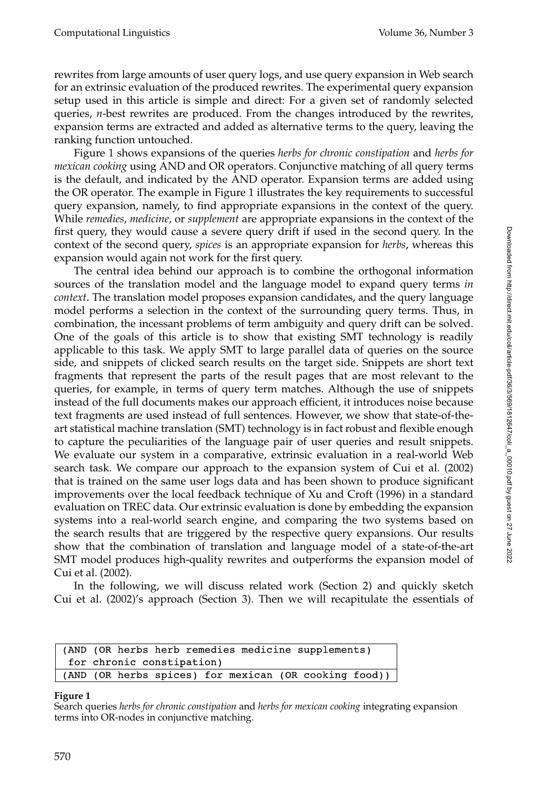rewrites from large amounts of user query logs, and use query expansion in Web search for an extrinsic evaluation of the produced rewrites. The experimental query expansion setup used in this article is simple and direct: For a given set of randomly selected queries, *n*-best rewrites are produced. From the changes introduced by the rewrites, expansion terms are extracted and added as alternative terms to the query, leaving the ranking function untouched.

Figure 1 shows expansions of the queries *herbs for chronic constipation* and *herbs for mexican cooking* using AND and OR operators. Conjunctive matching of all query terms is the default, and indicated by the AND operator. Expansion terms are added using the OR operator. The example in Figure 1 illustrates the key requirements to successful query expansion, namely, to find appropriate expansions in the context of the query. While *remedies*, *medicine*, or *supplement* are appropriate expansions in the context of the first query, they would cause a severe query drift if used in the second query. In the context of the second query, *spices* is an appropriate expansion for *herbs*, whereas this expansion would again not work for the first query.

The central idea behind our approach is to combine the orthogonal information sources of the translation model and the language model to expand query terms *in context*. The translation model proposes expansion candidates, and the query language model performs a selection in the context of the surrounding query terms. Thus, in combination, the incessant problems of term ambiguity and query drift can be solved. One of the goals of this article is to show that existing SMT technology is readily applicable to this task. We apply SMT to large parallel data of queries on the source side, and snippets of clicked search results on the target side. Snippets are short text fragments that represent the parts of the result pages that are most relevant to the queries, for example, in terms of query term matches. Although the use of snippets instead of the full documents makes our approach efficient, it introduces noise because text fragments are used instead of full sentences. However, we show that state-of-theart statistical machine translation (SMT) technology is in fact robust and flexible enough to capture the peculiarities of the language pair of user queries and result snippets. We evaluate our system in a comparative, extrinsic evaluation in a real-world Web search task. We compare our approach to the expansion system of Cui et al. (2002) that is trained on the same user logs data and has been shown to produce significant improvements over the local feedback technique of Xu and Croft (1996) in a standard evaluation on TREC data. Our extrinsic evaluation is done by embedding the expansion systems into a real-world search engine, and comparing the two systems based on the search results that are triggered by the respective query expansions. Our results show that the combination of translation and language model of a state-of-the-art SMT model produces high-quality rewrites and outperforms the expansion model of Cui et al. (2002).

In the following, we will discuss related work (Section 2) and quickly sketch Cui et al. (2002)'s approach (Section 3). Then we will recapitulate the essentials of

| (AND (OR herbs herb remedies medicine supplements)    |
|-------------------------------------------------------|
| for chronic constipation)                             |
| (AND (OR herbs spices) for mexican (OR cooking food)) |

#### **Figure 1**

Search queries *herbs for chronic constipation* and *herbs for mexican cooking* integrating expansion terms into OR-nodes in conjunctive matching.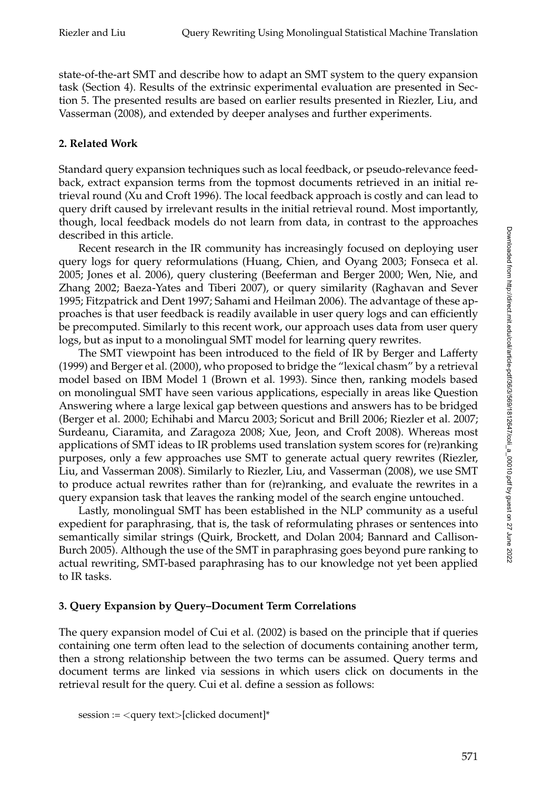state-of-the-art SMT and describe how to adapt an SMT system to the query expansion task (Section 4). Results of the extrinsic experimental evaluation are presented in Section 5. The presented results are based on earlier results presented in Riezler, Liu, and Vasserman (2008), and extended by deeper analyses and further experiments.

## **2. Related Work**

Standard query expansion techniques such as local feedback, or pseudo-relevance feedback, extract expansion terms from the topmost documents retrieved in an initial retrieval round (Xu and Croft 1996). The local feedback approach is costly and can lead to query drift caused by irrelevant results in the initial retrieval round. Most importantly, though, local feedback models do not learn from data, in contrast to the approaches described in this article.

Recent research in the IR community has increasingly focused on deploying user query logs for query reformulations (Huang, Chien, and Oyang 2003; Fonseca et al. 2005; Jones et al. 2006), query clustering (Beeferman and Berger 2000; Wen, Nie, and Zhang 2002; Baeza-Yates and Tiberi 2007), or query similarity (Raghavan and Sever 1995; Fitzpatrick and Dent 1997; Sahami and Heilman 2006). The advantage of these approaches is that user feedback is readily available in user query logs and can efficiently be precomputed. Similarly to this recent work, our approach uses data from user query logs, but as input to a monolingual SMT model for learning query rewrites.

The SMT viewpoint has been introduced to the field of IR by Berger and Lafferty (1999) and Berger et al. (2000), who proposed to bridge the "lexical chasm" by a retrieval model based on IBM Model 1 (Brown et al. 1993). Since then, ranking models based on monolingual SMT have seen various applications, especially in areas like Question Answering where a large lexical gap between questions and answers has to be bridged (Berger et al. 2000; Echihabi and Marcu 2003; Soricut and Brill 2006; Riezler et al. 2007; Surdeanu, Ciaramita, and Zaragoza 2008; Xue, Jeon, and Croft 2008). Whereas most applications of SMT ideas to IR problems used translation system scores for (re)ranking purposes, only a few approaches use SMT to generate actual query rewrites (Riezler, Liu, and Vasserman 2008). Similarly to Riezler, Liu, and Vasserman (2008), we use SMT to produce actual rewrites rather than for (re)ranking, and evaluate the rewrites in a query expansion task that leaves the ranking model of the search engine untouched.

Lastly, monolingual SMT has been established in the NLP community as a useful expedient for paraphrasing, that is, the task of reformulating phrases or sentences into semantically similar strings (Quirk, Brockett, and Dolan 2004; Bannard and Callison-Burch 2005). Although the use of the SMT in paraphrasing goes beyond pure ranking to actual rewriting, SMT-based paraphrasing has to our knowledge not yet been applied to IR tasks.

# **3. Query Expansion by Query–Document Term Correlations**

The query expansion model of Cui et al. (2002) is based on the principle that if queries containing one term often lead to the selection of documents containing another term, then a strong relationship between the two terms can be assumed. Query terms and document terms are linked via sessions in which users click on documents in the retrieval result for the query. Cui et al. define a session as follows: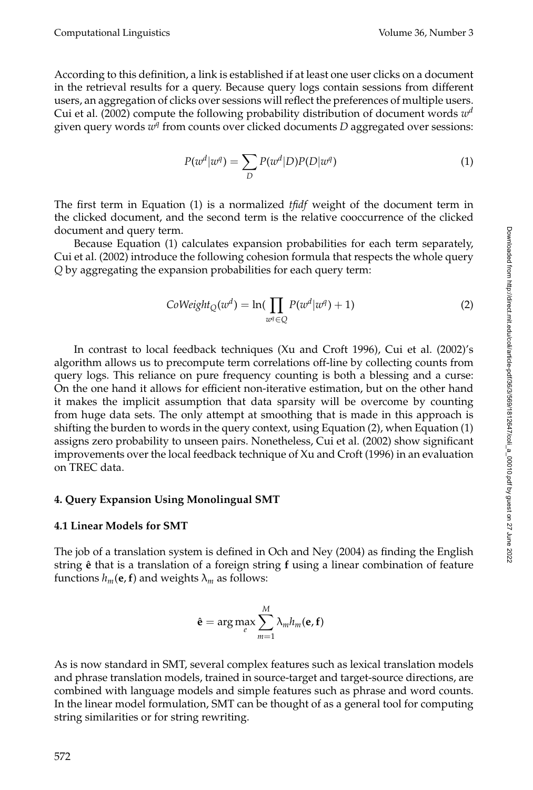According to this definition, a link is established if at least one user clicks on a document in the retrieval results for a query. Because query logs contain sessions from different users, an aggregation of clicks over sessions will reflect the preferences of multiple users. Cui et al. (2002) compute the following probability distribution of document words *w<sup>d</sup>* given query words *w<sup>q</sup>* from counts over clicked documents *D* aggregated over sessions:

$$
P(w^d|w^q) = \sum_D P(w^d|D)P(D|w^q)
$$
\n(1)

The first term in Equation (1) is a normalized *tfidf* weight of the document term in the clicked document, and the second term is the relative cooccurrence of the clicked document and query term.

Because Equation (1) calculates expansion probabilities for each term separately, Cui et al. (2002) introduce the following cohesion formula that respects the whole query *Q* by aggregating the expansion probabilities for each query term:

$$
C oWeight_Q(w^d) = \ln(\prod_{w^q \in Q} P(w^d | w^q) + 1)
$$
\n(2)

In contrast to local feedback techniques (Xu and Croft 1996), Cui et al. (2002)'s algorithm allows us to precompute term correlations off-line by collecting counts from query logs. This reliance on pure frequency counting is both a blessing and a curse: On the one hand it allows for efficient non-iterative estimation, but on the other hand it makes the implicit assumption that data sparsity will be overcome by counting from huge data sets. The only attempt at smoothing that is made in this approach is shifting the burden to words in the query context, using Equation (2), when Equation (1) assigns zero probability to unseen pairs. Nonetheless, Cui et al. (2002) show significant improvements over the local feedback technique of Xu and Croft (1996) in an evaluation on TREC data.

#### **4. Query Expansion Using Monolingual SMT**

#### **4.1 Linear Models for SMT**

The job of a translation system is defined in Och and Ney (2004) as finding the English string  $\hat{e}$  that is a translation of a foreign string f using a linear combination of feature functions  $h_m$ (**e**, **f**) and weights  $\lambda_m$  as follows:

$$
\hat{\mathbf{e}} = \arg \max_{e} \sum_{m=1}^{M} \lambda_m h_m(\mathbf{e}, \mathbf{f})
$$

As is now standard in SMT, several complex features such as lexical translation models and phrase translation models, trained in source-target and target-source directions, are combined with language models and simple features such as phrase and word counts. In the linear model formulation, SMT can be thought of as a general tool for computing string similarities or for string rewriting.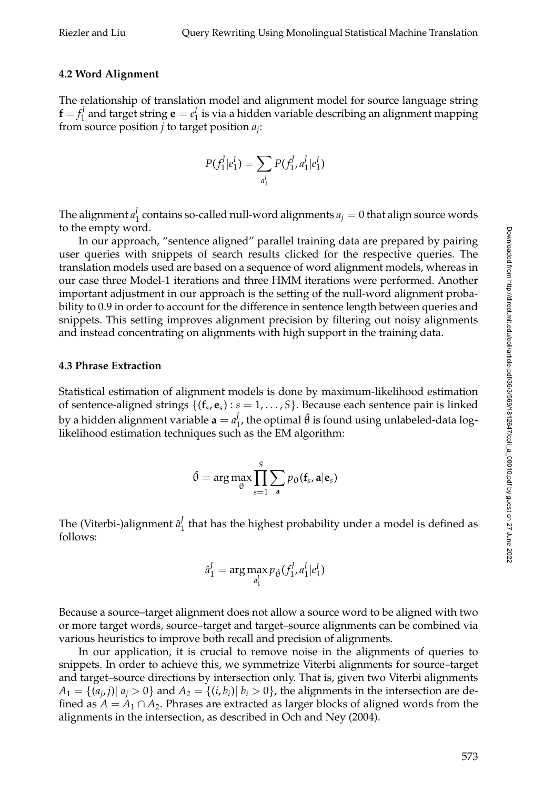## **4.2 Word Alignment**

The relationship of translation model and alignment model for source language string  $\mathbf{f} = f_1^J$  and target string  $\mathbf{e} = e_1^J$  is via a hidden variable describing an alignment mapping from source position *j* to target position *aj*:

$$
P(f_1^J|e_1^I) = \sum_{a_1^J} P(f_1^J, a_1^J|e_1^I)
$$

The alignment  $a_1^J$  contains so-called null-word alignments  $a_j = 0$  that align source words to the empty word.

In our approach, "sentence aligned" parallel training data are prepared by pairing user queries with snippets of search results clicked for the respective queries. The translation models used are based on a sequence of word alignment models, whereas in our case three Model-1 iterations and three HMM iterations were performed. Another important adjustment in our approach is the setting of the null-word alignment probability to 0.9 in order to account for the difference in sentence length between queries and snippets. This setting improves alignment precision by filtering out noisy alignments and instead concentrating on alignments with high support in the training data.

## **4.3 Phrase Extraction**

Statistical estimation of alignment models is done by maximum-likelihood estimation of sentence-aligned strings {(**f***s*, **e***s*) : *s* = 1, ... , *S*}. Because each sentence pair is linked by a hidden alignment variable  $\mathbf{a} = a_1^J$ , the optimal  $\hat{\theta}$  is found using unlabeled-data loglikelihood estimation techniques such as the EM algorithm:

$$
\hat{\theta} = \arg \max_{\theta} \prod_{s=1}^{S} \sum_{\mathbf{a}} p_{\theta}(\mathbf{f}_{s}, \mathbf{a} | \mathbf{e}_{s})
$$

The (Viterbi-)alignment  $\hat{a}_1^J$  that has the highest probability under a model is defined as follows:

$$
\hat{a}_1^J = \arg\max_{a_1^J} p_{\hat{\theta}}(f_1^J, a_1^J | e_1^I)
$$

Because a source–target alignment does not allow a source word to be aligned with two or more target words, source–target and target–source alignments can be combined via various heuristics to improve both recall and precision of alignments.

In our application, it is crucial to remove noise in the alignments of queries to snippets. In order to achieve this, we symmetrize Viterbi alignments for source–target and target–source directions by intersection only. That is, given two Viterbi alignments  $A_1 = \{(a_i, j) | a_i > 0\}$  and  $A_2 = \{(i, b_i) | b_i > 0\}$ , the alignments in the intersection are defined as  $A = A_1 \cap A_2$ . Phrases are extracted as larger blocks of aligned words from the alignments in the intersection, as described in Och and Ney (2004).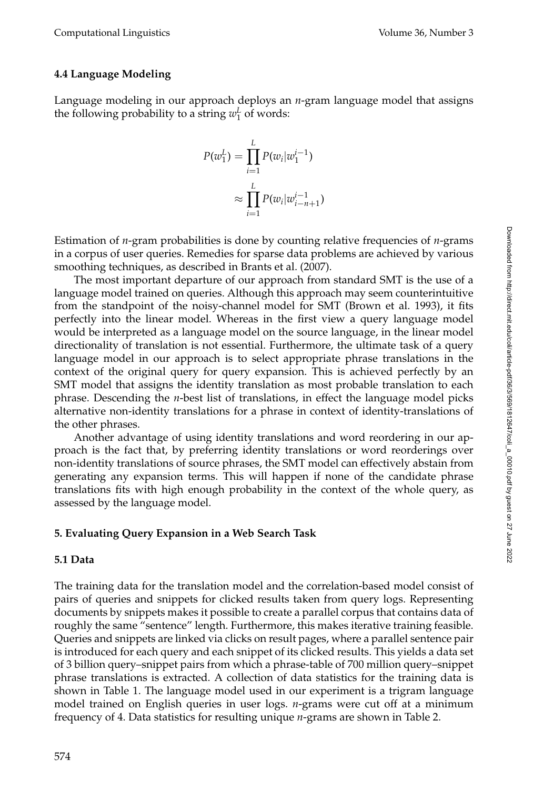# **4.4 Language Modeling**

Language modeling in our approach deploys an *n*-gram language model that assigns the following probability to a string  $w_1^L$  of words:

$$
P(w_1^L) = \prod_{i=1}^{L} P(w_i | w_1^{i-1})
$$
  

$$
\approx \prod_{i=1}^{L} P(w_i | w_{i-n+1}^{i-1})
$$

Estimation of *n*-gram probabilities is done by counting relative frequencies of *n*-grams in a corpus of user queries. Remedies for sparse data problems are achieved by various smoothing techniques, as described in Brants et al. (2007).

The most important departure of our approach from standard SMT is the use of a language model trained on queries. Although this approach may seem counterintuitive from the standpoint of the noisy-channel model for SMT (Brown et al. 1993), it fits perfectly into the linear model. Whereas in the first view a query language model would be interpreted as a language model on the source language, in the linear model directionality of translation is not essential. Furthermore, the ultimate task of a query language model in our approach is to select appropriate phrase translations in the context of the original query for query expansion. This is achieved perfectly by an SMT model that assigns the identity translation as most probable translation to each phrase. Descending the *n*-best list of translations, in effect the language model picks alternative non-identity translations for a phrase in context of identity-translations of the other phrases.

Another advantage of using identity translations and word reordering in our approach is the fact that, by preferring identity translations or word reorderings over non-identity translations of source phrases, the SMT model can effectively abstain from generating any expansion terms. This will happen if none of the candidate phrase translations fits with high enough probability in the context of the whole query, as assessed by the language model.

# **5. Evaluating Query Expansion in a Web Search Task**

## **5.1 Data**

The training data for the translation model and the correlation-based model consist of pairs of queries and snippets for clicked results taken from query logs. Representing documents by snippets makes it possible to create a parallel corpus that contains data of roughly the same "sentence" length. Furthermore, this makes iterative training feasible. Queries and snippets are linked via clicks on result pages, where a parallel sentence pair is introduced for each query and each snippet of its clicked results. This yields a data set of 3 billion query–snippet pairs from which a phrase-table of 700 million query–snippet phrase translations is extracted. A collection of data statistics for the training data is shown in Table 1. The language model used in our experiment is a trigram language model trained on English queries in user logs. *n*-grams were cut off at a minimum frequency of 4. Data statistics for resulting unique *n*-grams are shown in Table 2.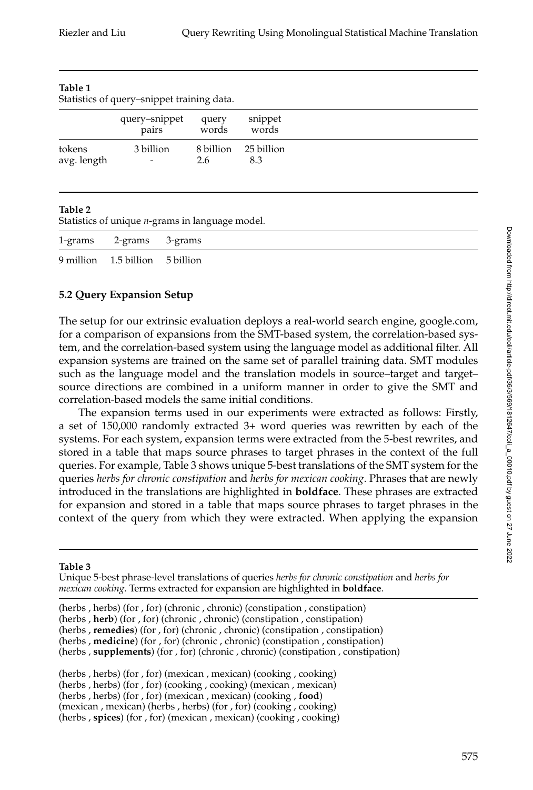| TADIE T<br>Statistics of query–snippet training data. |                                       |                |                             |  |  |  |
|-------------------------------------------------------|---------------------------------------|----------------|-----------------------------|--|--|--|
|                                                       | query-snippet<br>pairs                | query<br>words | snippet<br>words            |  |  |  |
| tokens<br>avg. length                                 | 3 billion<br>$\overline{\phantom{a}}$ | 2.6            | 8 billion 25 billion<br>8.3 |  |  |  |

#### **Table 1**

#### **Table 2**

Statistics of unique *n*-grams in language model.

| 1-grams 2-grams 3-grams         |  |
|---------------------------------|--|
| 9 million 1.5 billion 5 billion |  |

# **5.2 Query Expansion Setup**

The setup for our extrinsic evaluation deploys a real-world search engine, google.com, for a comparison of expansions from the SMT-based system, the correlation-based system, and the correlation-based system using the language model as additional filter. All expansion systems are trained on the same set of parallel training data. SMT modules such as the language model and the translation models in source–target and target– source directions are combined in a uniform manner in order to give the SMT and correlation-based models the same initial conditions.

The expansion terms used in our experiments were extracted as follows: Firstly, a set of 150,000 randomly extracted 3+ word queries was rewritten by each of the systems. For each system, expansion terms were extracted from the 5-best rewrites, and stored in a table that maps source phrases to target phrases in the context of the full queries. For example, Table 3 shows unique 5-best translations of the SMT system for the queries *herbs for chronic constipation* and *herbs for mexican cooking*. Phrases that are newly introduced in the translations are highlighted in **boldface**. These phrases are extracted for expansion and stored in a table that maps source phrases to target phrases in the context of the query from which they were extracted. When applying the expansion

#### **Table 3**

Unique 5-best phrase-level translations of queries *herbs for chronic constipation* and *herbs for mexican cooking*. Terms extracted for expansion are highlighted in **boldface**.

(herbs , herbs) (for , for) (chronic , chronic) (constipation , constipation) (herbs , **herb**) (for , for) (chronic , chronic) (constipation , constipation) (herbs , **remedies**) (for , for) (chronic , chronic) (constipation , constipation) (herbs , **medicine**) (for , for) (chronic , chronic) (constipation , constipation) (herbs , **supplements**) (for , for) (chronic , chronic) (constipation , constipation)

(herbs , herbs) (for , for) (mexican , mexican) (cooking , cooking) (herbs , herbs) (for , for) (cooking , cooking) (mexican , mexican) (herbs , herbs) (for , for) (mexican , mexican) (cooking , **food**) (mexican , mexican) (herbs , herbs) (for , for) (cooking , cooking) (herbs , **spices**) (for , for) (mexican , mexican) (cooking , cooking)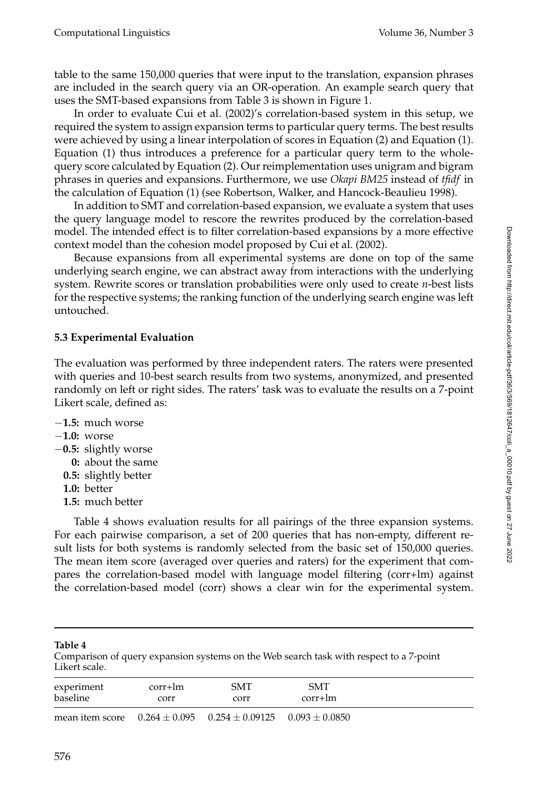table to the same 150,000 queries that were input to the translation, expansion phrases are included in the search query via an OR-operation. An example search query that uses the SMT-based expansions from Table 3 is shown in Figure 1.

In order to evaluate Cui et al. (2002)'s correlation-based system in this setup, we required the system to assign expansion terms to particular query terms. The best results were achieved by using a linear interpolation of scores in Equation (2) and Equation (1). Equation (1) thus introduces a preference for a particular query term to the wholequery score calculated by Equation (2). Our reimplementation uses unigram and bigram phrases in queries and expansions. Furthermore, we use *Okapi BM25* instead of *tfidf* in the calculation of Equation (1) (see Robertson, Walker, and Hancock-Beaulieu 1998).

In addition to SMT and correlation-based expansion, we evaluate a system that uses the query language model to rescore the rewrites produced by the correlation-based model. The intended effect is to filter correlation-based expansions by a more effective context model than the cohesion model proposed by Cui et al. (2002).

Because expansions from all experimental systems are done on top of the same underlying search engine, we can abstract away from interactions with the underlying system. Rewrite scores or translation probabilities were only used to create *n*-best lists for the respective systems; the ranking function of the underlying search engine was left untouched.

# **5.3 Experimental Evaluation**

The evaluation was performed by three independent raters. The raters were presented with queries and 10-best search results from two systems, anonymized, and presented randomly on left or right sides. The raters' task was to evaluate the results on a 7-point Likert scale, defined as:

- −**1.5:** much worse
- −**1.0:** worse
- −**0.5:** slightly worse
	- **0:** about the same
	- **0.5:** slightly better
	- **1.0:** better
	- **1.5:** much better

Table 4 shows evaluation results for all pairings of the three expansion systems. For each pairwise comparison, a set of 200 queries that has non-empty, different result lists for both systems is randomly selected from the basic set of 150,000 queries. The mean item score (averaged over queries and raters) for the experiment that compares the correlation-based model with language model filtering (corr+lm) against the correlation-based model (corr) shows a clear win for the experimental system.

**Table 4**

Comparison of query expansion systems on the Web search task with respect to a 7-point Likert scale.

| experiment | corr+lm | <b>SMT</b>                                                               | <b>SMT</b> |
|------------|---------|--------------------------------------------------------------------------|------------|
| baseline   | corr    | corr                                                                     | $corr+lm$  |
|            |         | mean item score $0.264 \pm 0.095$ $0.254 \pm 0.09125$ $0.093 \pm 0.0850$ |            |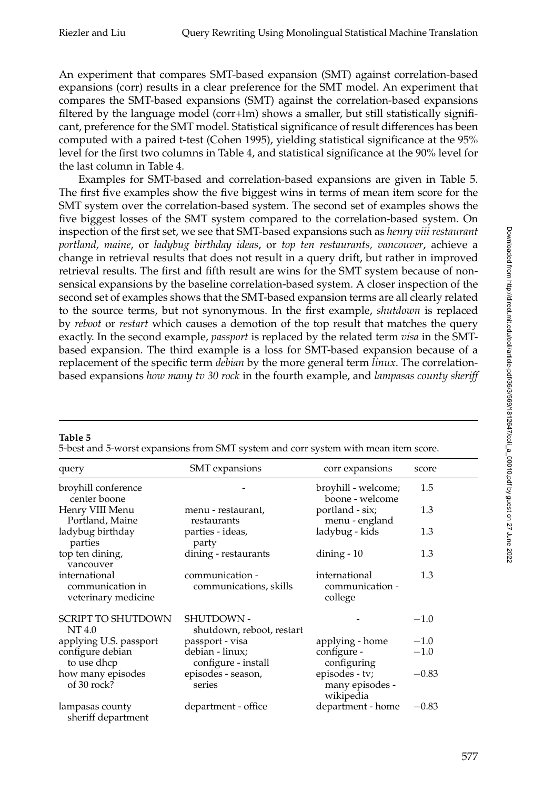An experiment that compares SMT-based expansion (SMT) against correlation-based expansions (corr) results in a clear preference for the SMT model. An experiment that compares the SMT-based expansions (SMT) against the correlation-based expansions filtered by the language model (corr+lm) shows a smaller, but still statistically significant, preference for the SMT model. Statistical significance of result differences has been computed with a paired t-test (Cohen 1995), yielding statistical significance at the 95% level for the first two columns in Table 4, and statistical significance at the 90% level for the last column in Table 4.

Examples for SMT-based and correlation-based expansions are given in Table 5. The first five examples show the five biggest wins in terms of mean item score for the SMT system over the correlation-based system. The second set of examples shows the five biggest losses of the SMT system compared to the correlation-based system. On inspection of the first set, we see that SMT-based expansions such as *henry viii restaurant portland, maine*, or *ladybug birthday ideas*, or *top ten restaurants, vancouver*, achieve a change in retrieval results that does not result in a query drift, but rather in improved retrieval results. The first and fifth result are wins for the SMT system because of nonsensical expansions by the baseline correlation-based system. A closer inspection of the second set of examples shows that the SMT-based expansion terms are all clearly related to the source terms, but not synonymous. In the first example, *shutdown* is replaced by *reboot* or *restart* which causes a demotion of the top result that matches the query exactly. In the second example, *passport* is replaced by the related term *visa* in the SMTbased expansion. The third example is a loss for SMT-based expansion because of a replacement of the specific term *debian* by the more general term *linux*. The correlationbased expansions *how many tv 30 rock* in the fourth example, and *lampasas county sheriff*

| query                                                    | <b>SMT</b> expansions                     | corr expansions                                | score   |
|----------------------------------------------------------|-------------------------------------------|------------------------------------------------|---------|
| broyhill conference<br>center boone                      |                                           | broyhill - welcome;<br>boone - welcome         | 1.5     |
| Henry VIII Menu<br>Portland, Maine                       | menu - restaurant,<br>restaurants         | portland - six;<br>menu - england              | 1.3     |
| ladybug birthday<br>parties                              | parties - ideas,<br>party                 | ladybug - kids                                 | 1.3     |
| top ten dining,<br>vancouver                             | dining - restaurants                      | dining $-10$                                   | 1.3     |
| international<br>communication in<br>veterinary medicine | communication -<br>communications, skills | international<br>communication -<br>college    | 1.3     |
| <b>SCRIPT TO SHUTDOWN</b><br>NT 4.0                      | SHUTDOWN -<br>shutdown, reboot, restart   |                                                | $-1.0$  |
| applying U.S. passport                                   | passport - visa                           | applying - home                                | $-1.0$  |
| configure debian<br>to use dhcp                          | debian - linux;<br>configure - install    | configure -<br>configuring                     | $-1.0$  |
| how many episodes<br>of 30 rock?                         | episodes - season,<br>series              | episodes - tv;<br>many episodes -<br>wikipedia | $-0.83$ |
| lampasas county<br>sheriff department                    | department - office                       | department - home                              | $-0.83$ |

#### **Table 5**

5-best and 5-worst expansions from SMT system and corr system with mean item score.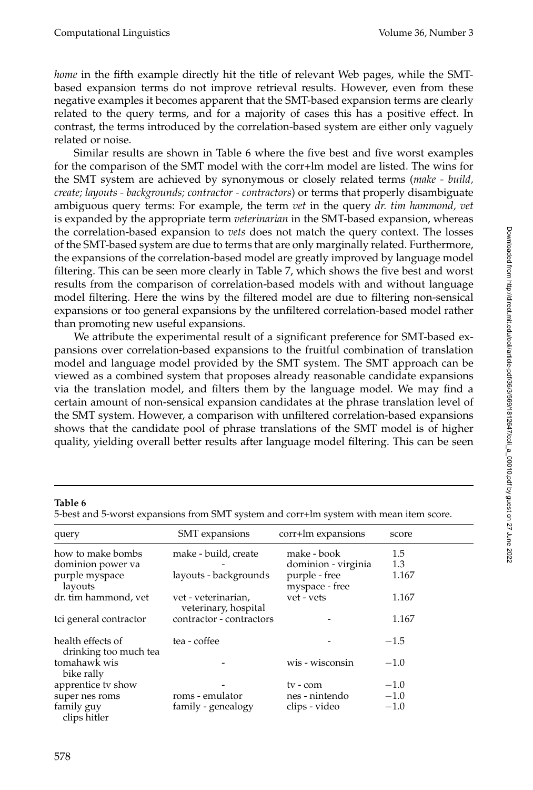*home* in the fifth example directly hit the title of relevant Web pages, while the SMTbased expansion terms do not improve retrieval results. However, even from these negative examples it becomes apparent that the SMT-based expansion terms are clearly related to the query terms, and for a majority of cases this has a positive effect. In contrast, the terms introduced by the correlation-based system are either only vaguely related or noise.

Similar results are shown in Table 6 where the five best and five worst examples for the comparison of the SMT model with the corr+lm model are listed. The wins for the SMT system are achieved by synonymous or closely related terms (*make - build, create; layouts - backgrounds; contractor - contractors*) or terms that properly disambiguate ambiguous query terms: For example, the term *vet* in the query *dr. tim hammond, vet* is expanded by the appropriate term *veterinarian* in the SMT-based expansion, whereas the correlation-based expansion to *vets* does not match the query context. The losses of the SMT-based system are due to terms that are only marginally related. Furthermore, the expansions of the correlation-based model are greatly improved by language model filtering. This can be seen more clearly in Table 7, which shows the five best and worst results from the comparison of correlation-based models with and without language model filtering. Here the wins by the filtered model are due to filtering non-sensical expansions or too general expansions by the unfiltered correlation-based model rather than promoting new useful expansions.

We attribute the experimental result of a significant preference for SMT-based expansions over correlation-based expansions to the fruitful combination of translation model and language model provided by the SMT system. The SMT approach can be viewed as a combined system that proposes already reasonable candidate expansions via the translation model, and filters them by the language model. We may find a certain amount of non-sensical expansion candidates at the phrase translation level of the SMT system. However, a comparison with unfiltered correlation-based expansions shows that the candidate pool of phrase translations of the SMT model is of higher quality, yielding overall better results after language model filtering. This can be seen

#### **Table 6**

5-best and 5-worst expansions from SMT system and corr+lm system with mean item score.

| query                                      | SMT expansions                              | corr+lm expansions              | score  |
|--------------------------------------------|---------------------------------------------|---------------------------------|--------|
| how to make bombs                          | make - build, create                        | make - book                     | 1.5    |
| dominion power va                          |                                             | dominion - virginia             | 1.3    |
| purple myspace<br>layouts                  | layouts - backgrounds                       | purple - free<br>myspace - free | 1.167  |
| dr. tim hammond, vet                       | vet - veterinarian,<br>veterinary, hospital | vet - vets                      | 1.167  |
| tci general contractor                     | contractor - contractors                    |                                 | 1.167  |
| health effects of<br>drinking too much tea | tea - coffee                                |                                 | $-1.5$ |
| tomahawk wis<br>bike rally                 |                                             | wis - wisconsin                 | $-1.0$ |
| apprentice tv show                         |                                             | ty - com                        | $-1.0$ |
| super nes roms                             | roms - emulator                             | nes - nintendo                  | $-1.0$ |
| family guy<br>clips hitler                 | family - genealogy                          | clips - video                   | $-1.0$ |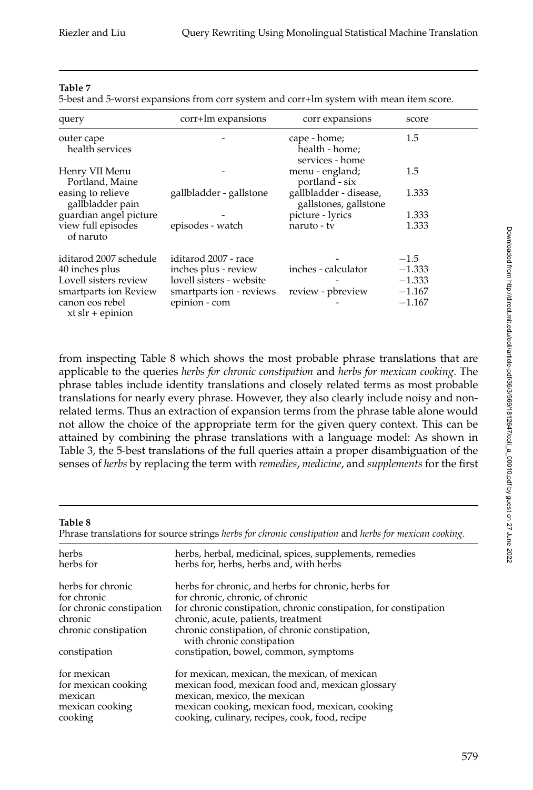#### **Table 7**

5-best and 5-worst expansions from corr system and corr+lm system with mean item score.

| query                                 | corr+lm expansions       | corr expansions                                   | score    |
|---------------------------------------|--------------------------|---------------------------------------------------|----------|
| outer cape<br>health services         |                          | cape - home;<br>health - home;<br>services - home | 1.5      |
| Henry VII Menu<br>Portland, Maine     |                          | menu - england;<br>portland - six                 | 1.5      |
| easing to relieve<br>gallbladder pain | gallbladder - gallstone  | gallbladder - disease,<br>gallstones, gallstone   | 1.333    |
| guardian angel picture                |                          | picture - lyrics                                  | 1.333    |
| view full episodes<br>of naruto       | episodes - watch         | naruto - tv                                       | 1.333    |
| iditarod 2007 schedule                | iditarod 2007 - race     |                                                   | $-1.5$   |
| 40 inches plus                        | inches plus - review     | inches - calculator                               | $-1.333$ |
| Lovell sisters review                 | lovell sisters - website |                                                   | $-1.333$ |
| smartparts ion Review                 | smartparts ion - reviews | review - pbreview                                 | $-1.167$ |
| canon eos rebel<br>$xt$ slr + epinion | epinion - com            |                                                   | $-1.167$ |

from inspecting Table 8 which shows the most probable phrase translations that are applicable to the queries *herbs for chronic constipation* and *herbs for mexican cooking*. The phrase tables include identity translations and closely related terms as most probable translations for nearly every phrase. However, they also clearly include noisy and nonrelated terms. Thus an extraction of expansion terms from the phrase table alone would not allow the choice of the appropriate term for the given query context. This can be attained by combining the phrase translations with a language model: As shown in Table 3, the 5-best translations of the full queries attain a proper disambiguation of the senses of *herbs* by replacing the term with *remedies*, *medicine*, and *supplements* for the first

#### **Table 8**

Phrase translations for source strings *herbs for chronic constipation* and *herbs for mexican cooking*.

| herbs<br>herbs for       | herbs, herbal, medicinal, spices, supplements, remedies<br>herbs for, herbs, herbs and, with herbs |
|--------------------------|----------------------------------------------------------------------------------------------------|
| herbs for chronic        | herbs for chronic, and herbs for chronic, herbs for                                                |
| for chronic              | for chronic, chronic, of chronic                                                                   |
| for chronic constipation | for chronic constipation, chronic constipation, for constipation                                   |
| chronic                  | chronic, acute, patients, treatment                                                                |
| chronic constipation     | chronic constipation, of chronic constipation,<br>with chronic constipation                        |
| constipation             | constipation, bowel, common, symptoms                                                              |
| for mexican              | for mexican, mexican, the mexican, of mexican                                                      |
| for mexican cooking      | mexican food, mexican food and, mexican glossary                                                   |
| mexican                  | mexican, mexico, the mexican                                                                       |
| mexican cooking          | mexican cooking, mexican food, mexican, cooking                                                    |
| cooking                  | cooking, culinary, recipes, cook, food, recipe                                                     |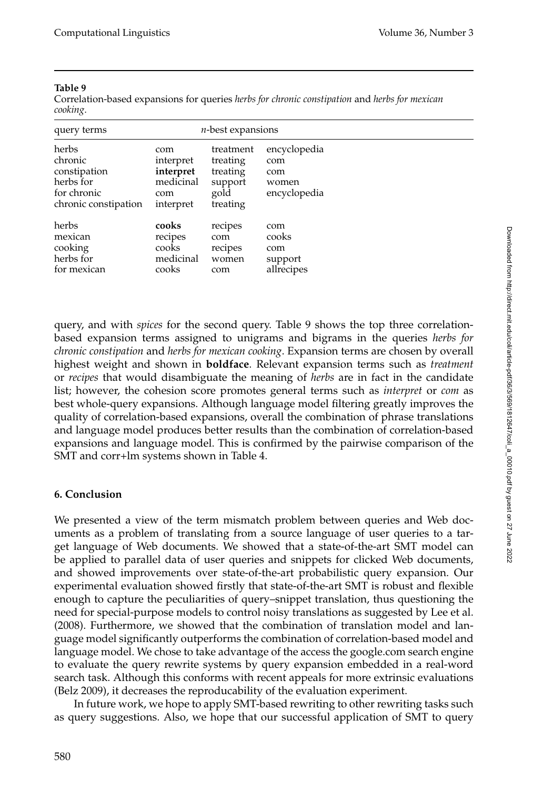### **Table 9**

Correlation-based expansions for queries *herbs for chronic constipation* and *herbs for mexican cooking*.

| query terms                                                                          |                                                                | $n$ -best expansions                                             |                                                     |  |
|--------------------------------------------------------------------------------------|----------------------------------------------------------------|------------------------------------------------------------------|-----------------------------------------------------|--|
| herbs<br>chronic<br>constipation<br>herbs for<br>for chronic<br>chronic constipation | com<br>interpret<br>interpret<br>medicinal<br>com<br>interpret | treatment<br>treating<br>treating<br>support<br>gold<br>treating | encyclopedia<br>com<br>com<br>women<br>encyclopedia |  |
| herbs<br>mexican<br>cooking<br>herbs for<br>for mexican                              | cooks<br>recipes<br>cooks<br>medicinal<br>cooks                | recipes<br>com<br>recipes<br>women<br>com                        | com<br>cooks<br>com<br>support<br>allrecipes        |  |

query, and with *spices* for the second query. Table 9 shows the top three correlationbased expansion terms assigned to unigrams and bigrams in the queries *herbs for chronic constipation* and *herbs for mexican cooking*. Expansion terms are chosen by overall highest weight and shown in **boldface**. Relevant expansion terms such as *treatment* or *recipes* that would disambiguate the meaning of *herbs* are in fact in the candidate list; however, the cohesion score promotes general terms such as *interpret* or *com* as best whole-query expansions. Although language model filtering greatly improves the quality of correlation-based expansions, overall the combination of phrase translations and language model produces better results than the combination of correlation-based expansions and language model. This is confirmed by the pairwise comparison of the SMT and corr+lm systems shown in Table 4.

# **6. Conclusion**

We presented a view of the term mismatch problem between queries and Web documents as a problem of translating from a source language of user queries to a target language of Web documents. We showed that a state-of-the-art SMT model can be applied to parallel data of user queries and snippets for clicked Web documents, and showed improvements over state-of-the-art probabilistic query expansion. Our experimental evaluation showed firstly that state-of-the-art SMT is robust and flexible enough to capture the peculiarities of query–snippet translation, thus questioning the need for special-purpose models to control noisy translations as suggested by Lee et al. (2008). Furthermore, we showed that the combination of translation model and language model significantly outperforms the combination of correlation-based model and language model. We chose to take advantage of the access the google.com search engine to evaluate the query rewrite systems by query expansion embedded in a real-word search task. Although this conforms with recent appeals for more extrinsic evaluations (Belz 2009), it decreases the reproducability of the evaluation experiment.

In future work, we hope to apply SMT-based rewriting to other rewriting tasks such as query suggestions. Also, we hope that our successful application of SMT to query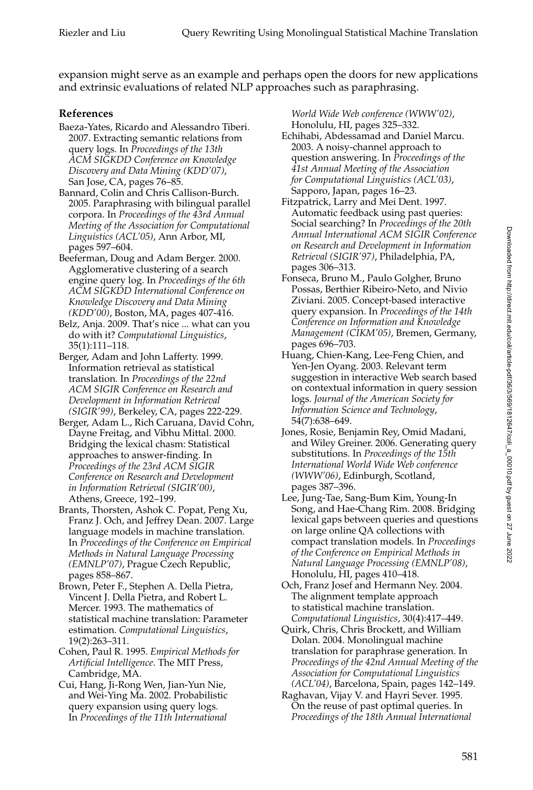expansion might serve as an example and perhaps open the doors for new applications and extrinsic evaluations of related NLP approaches such as paraphrasing.

# **References**

- Baeza-Yates, Ricardo and Alessandro Tiberi. 2007. Extracting semantic relations from query logs. In *Proceedings of the 13th ACM SIGKDD Conference on Knowledge Discovery and Data Mining (KDD'07)*, San Jose, CA, pages 76–85.
- Bannard, Colin and Chris Callison-Burch. 2005. Paraphrasing with bilingual parallel corpora. In *Proceedings of the 43rd Annual Meeting of the Association for Computational Linguistics (ACL'05)*, Ann Arbor, MI, pages 597–604.
- Beeferman, Doug and Adam Berger. 2000. Agglomerative clustering of a search engine query log. In *Proceedings of the 6th ACM SIGKDD International Conference on Knowledge Discovery and Data Mining (KDD'00)*, Boston, MA, pages 407-416.
- Belz, Anja. 2009. That's nice ... what can you do with it? *Computational Linguistics*, 35(1):111–118.
- Berger, Adam and John Lafferty. 1999. Information retrieval as statistical translation. In *Proceedings of the 22nd ACM SIGIR Conference on Research and Development in Information Retrieval (SIGIR'99)*, Berkeley, CA, pages 222-229.
- Berger, Adam L., Rich Caruana, David Cohn, Dayne Freitag, and Vibhu Mittal. 2000. Bridging the lexical chasm: Statistical approaches to answer-finding. In *Proceedings of the 23rd ACM SIGIR Conference on Research and Development in Information Retrieval (SIGIR'00)*, Athens, Greece, 192–199.
- Brants, Thorsten, Ashok C. Popat, Peng Xu, Franz J. Och, and Jeffrey Dean. 2007. Large language models in machine translation. In *Proceedings of the Conference on Empirical Methods in Natural Language Processing (EMNLP'07)*, Prague Czech Republic, pages 858–867.
- Brown, Peter F., Stephen A. Della Pietra, Vincent J. Della Pietra, and Robert L. Mercer. 1993. The mathematics of statistical machine translation: Parameter estimation. *Computational Linguistics*, 19(2):263–311.
- Cohen, Paul R. 1995. *Empirical Methods for Artificial Intelligence*. The MIT Press, Cambridge, MA.
- Cui, Hang, Ji-Rong Wen, Jian-Yun Nie, and Wei-Ying Ma. 2002. Probabilistic query expansion using query logs. In *Proceedings of the 11th International*

*World Wide Web conference (WWW'02)*, Honolulu, HI, pages 325–332.

- Echihabi, Abdessamad and Daniel Marcu. 2003. A noisy-channel approach to question answering. In *Proceedings of the 41st Annual Meeting of the Association for Computational Linguistics (ACL'03)*, Sapporo, Japan, pages 16–23.
- Fitzpatrick, Larry and Mei Dent. 1997. Automatic feedback using past queries: Social searching? In *Proceedings of the 20th Annual International ACM SIGIR Conference on Research and Development in Information Retrieval (SIGIR'97)*, Philadelphia, PA, pages 306–313.
- Fonseca, Bruno M., Paulo Golgher, Bruno Possas, Berthier Ribeiro-Neto, and Nivio Ziviani. 2005. Concept-based interactive query expansion. In *Proceedings of the 14th Conference on Information and Knowledge Management (CIKM'05)*, Bremen, Germany, pages 696–703.
- Huang, Chien-Kang, Lee-Feng Chien, and Yen-Jen Oyang. 2003. Relevant term suggestion in interactive Web search based on contextual information in query session logs. *Journal of the American Society for Information Science and Technology*, 54(7):638–649.
- Jones, Rosie, Benjamin Rey, Omid Madani, and Wiley Greiner. 2006. Generating query substitutions. In *Proceedings of the 15th International World Wide Web conference (WWW'06)*, Edinburgh, Scotland, pages 387–396.
- Lee, Jung-Tae, Sang-Bum Kim, Young-In Song, and Hae-Chang Rim. 2008. Bridging lexical gaps between queries and questions on large online QA collections with compact translation models. In *Proceedings of the Conference on Empirical Methods in Natural Language Processing (EMNLP'08)*, Honolulu, HI, pages 410–418.
- Och, Franz Josef and Hermann Ney. 2004. The alignment template approach to statistical machine translation. *Computational Linguistics*, 30(4):417–449.
- Quirk, Chris, Chris Brockett, and William Dolan. 2004. Monolingual machine translation for paraphrase generation. In *Proceedings of the 42nd Annual Meeting of the Association for Computational Linguistics (ACL'04)*, Barcelona, Spain, pages 142–149.
- Raghavan, Vijay V. and Hayri Sever. 1995. On the reuse of past optimal queries. In *Proceedings of the 18th Annual International*